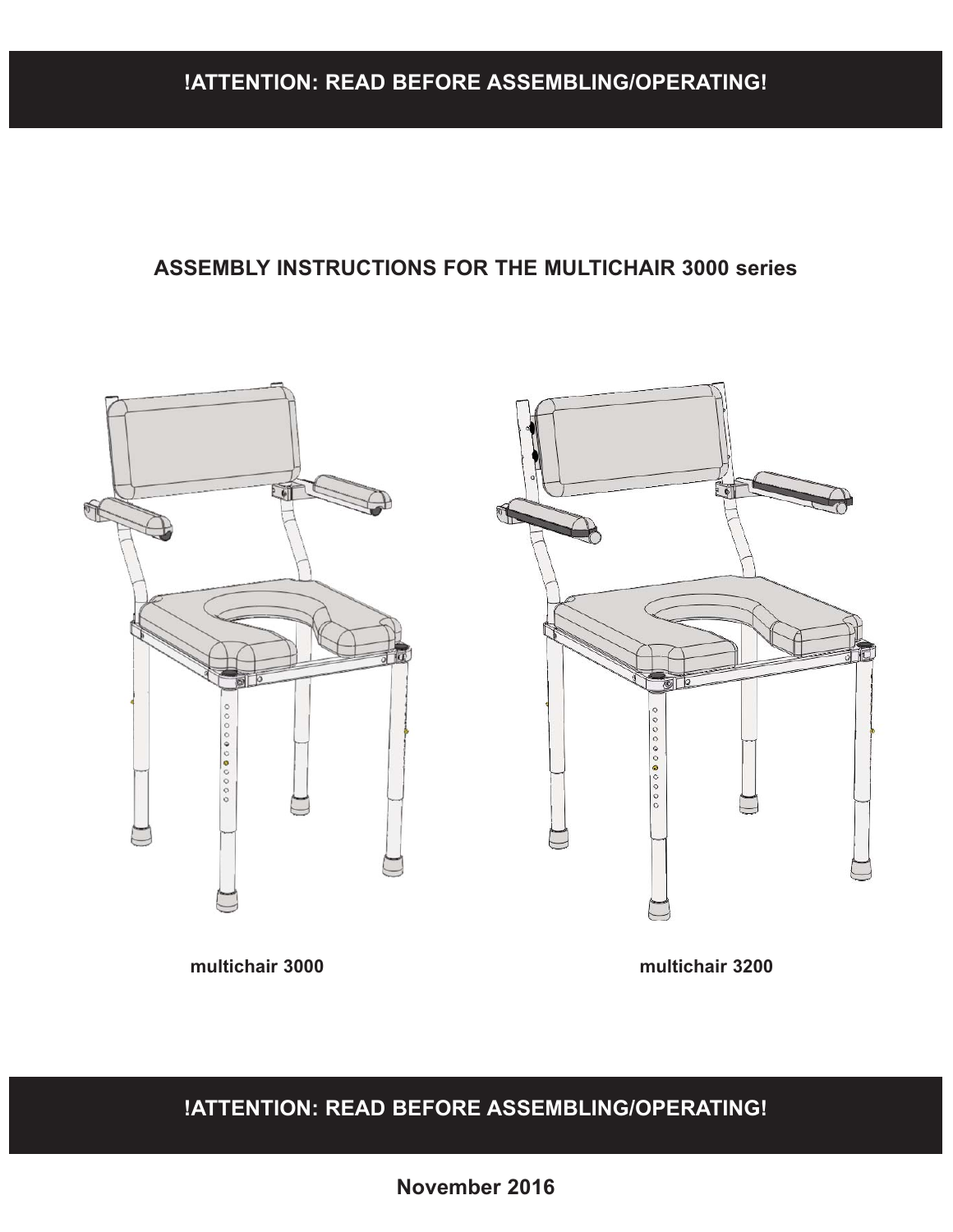### **!ATTENTION: READ BEFORE ASSEMBLING/OPERATING!**

#### **ASSEMBLY INSTRUCTIONS FOR THE MULTICHAIR 3000 series**



**multichair 3000 multichair 3200**

**!ATTENTION: READ BEFORE ASSEMBLING/OPERATING!**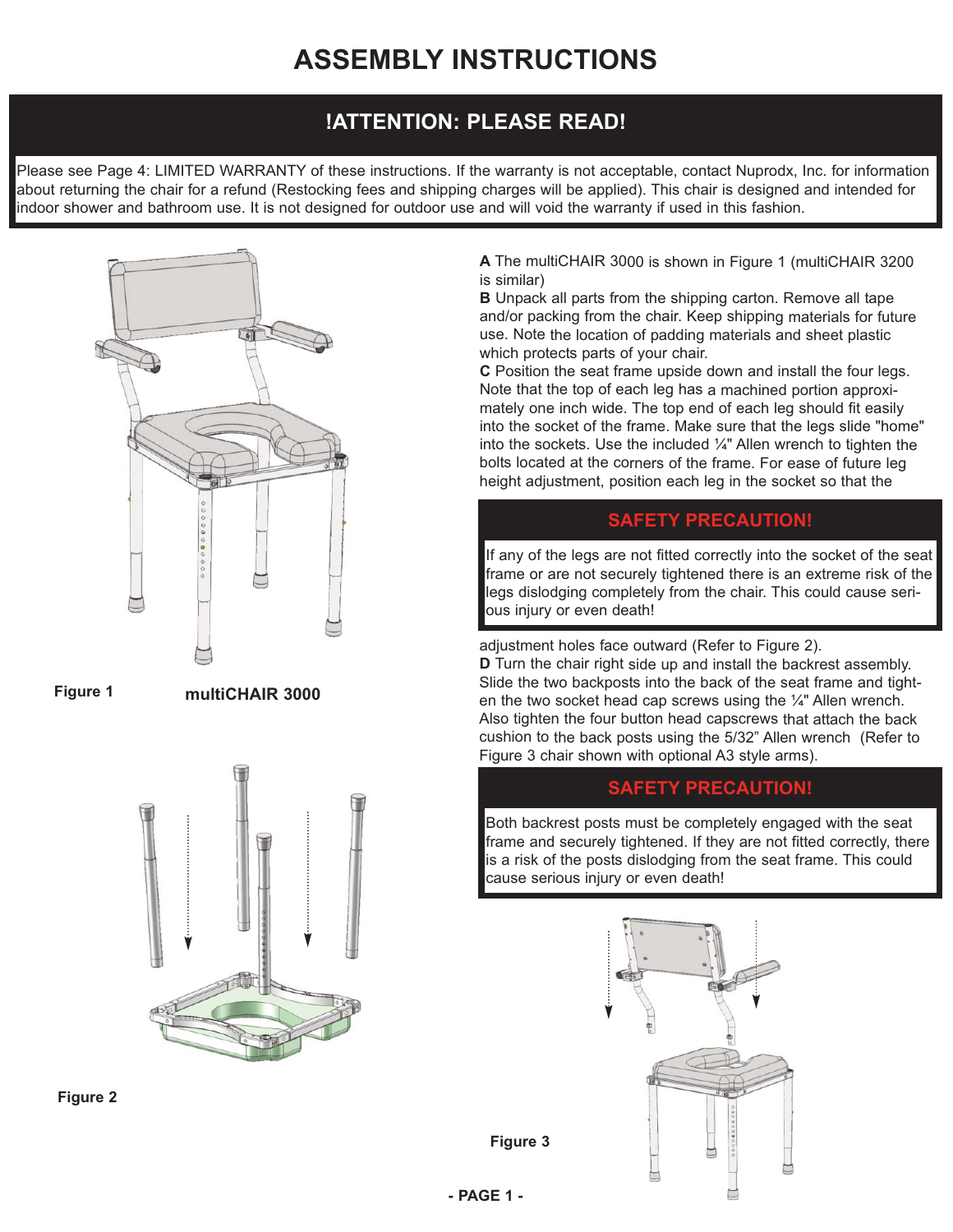### **!ATTENTION: PLEASE READ!**

Please see Page 4: LIMITED WARRANTY of these instructions. If the warranty is not acceptable, contact Nuprodx, Inc. for information about returning the chair for a refund (Restocking fees and shipping charges will be applied). This chair is designed and intended for indoor shower and bathroom use. It is not designed for outdoor use and will void the warranty if used in this fashion.





**multiCHAIR 3000**





**A** The multiCHAIR 3000 is shown in Figure 1 (multiCHAIR 3200 is similar)

**B** Unpack all parts from the shipping carton. Remove all tape and/or packing from the chair. Keep shipping materials for future use. Note the location of padding materials and sheet plastic which protects parts of your chair.

**C** Position the seat frame upside down and install the four legs. Note that the top of each leg has a machined portion approximately one inch wide. The top end of each leg should fit easily into the socket of the frame. Make sure that the legs slide "home" into the sockets. Use the included ¼" Allen wrench to tighten the bolts located at the corners of the frame. For ease of future leg height adjustment, position each leg in the socket so that the

#### **SAFETY PRECAUTION!**

If any of the legs are not fitted correctly into the socket of the seat frame or are not securely tightened there is an extreme risk of the legs dislodging completely from the chair. This could cause serious injury or even death!

adjustment holes face outward (Refer to Figure 2). **D** Turn the chair right side up and install the backrest assembly. Slide the two backposts into the back of the seat frame and tighten the two socket head cap screws using the  $\frac{1}{4}$ " Allen wrench. Also tighten the four button head capscrews that attach the back cushion to the back posts using the 5/32" Allen wrench (Refer to Figure 3 chair shown with optional A3 style arms).

#### **SAFETY PRECAUTION!**

Both backrest posts must be completely engaged with the seat frame and securely tightened. If they are not fitted correctly, there is a risk of the posts dislodging from the seat frame. This could cause serious injury or even death!



**Figure 3**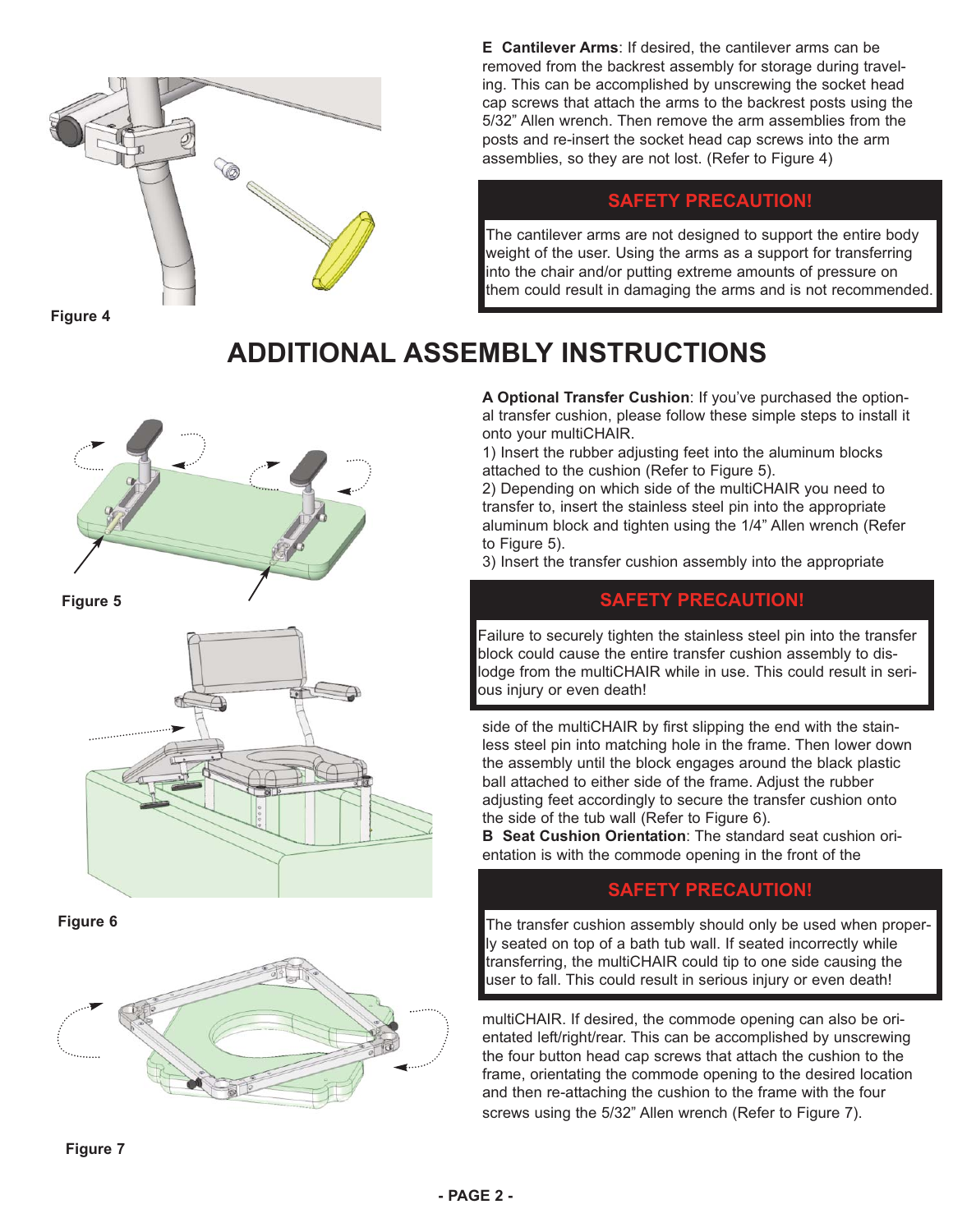

**Figure 4**

**E Cantilever Arms**: If desired, the cantilever arms can be removed from the backrest assembly for storage during traveling. This can be accomplished by unscrewing the socket head cap screws that attach the arms to the backrest posts using the 5/32" Allen wrench. Then remove the arm assemblies from the posts and re-insert the socket head cap screws into the arm assemblies, so they are not lost. (Refer to Figure 4)

#### **SAFETY PRECAUTION!**

The cantilever arms are not designed to support the entire body weight of the user. Using the arms as a support for transferring into the chair and/or putting extreme amounts of pressure on them could result in damaging the arms and is not recommended.

## **ADDITIONAL ASSEMBLY INSTRUCTIONS**



**Figure 5**



**Figure 6**



**A Optional Transfer Cushion**: If you've purchased the optional transfer cushion, please follow these simple steps to install it onto your multiCHAIR.

1) Insert the rubber adjusting feet into the aluminum blocks attached to the cushion (Refer to Figure 5).

2) Depending on which side of the multiCHAIR you need to transfer to, insert the stainless steel pin into the appropriate aluminum block and tighten using the 1/4" Allen wrench (Refer to Figure 5).

3) Insert the transfer cushion assembly into the appropriate

#### **SAFETY PRECAUTION!**

Failure to securely tighten the stainless steel pin into the transfer block could cause the entire transfer cushion assembly to dislodge from the multiCHAIR while in use. This could result in serious injury or even death!

side of the multiCHAIR by first slipping the end with the stainless steel pin into matching hole in the frame. Then lower down the assembly until the block engages around the black plastic ball attached to either side of the frame. Adjust the rubber adjusting feet accordingly to secure the transfer cushion onto the side of the tub wall (Refer to Figure 6).

**B Seat Cushion Orientation**: The standard seat cushion orientation is with the commode opening in the front of the

#### **SAFETY PRECAUTION!**

The transfer cushion assembly should only be used when properly seated on top of a bath tub wall. If seated incorrectly while transferring, the multiCHAIR could tip to one side causing the user to fall. This could result in serious injury or even death!

multiCHAIR. If desired, the commode opening can also be orientated left/right/rear. This can be accomplished by unscrewing the four button head cap screws that attach the cushion to the frame, orientating the commode opening to the desired location and then re-attaching the cushion to the frame with the four screws using the 5/32" Allen wrench (Refer to Figure 7).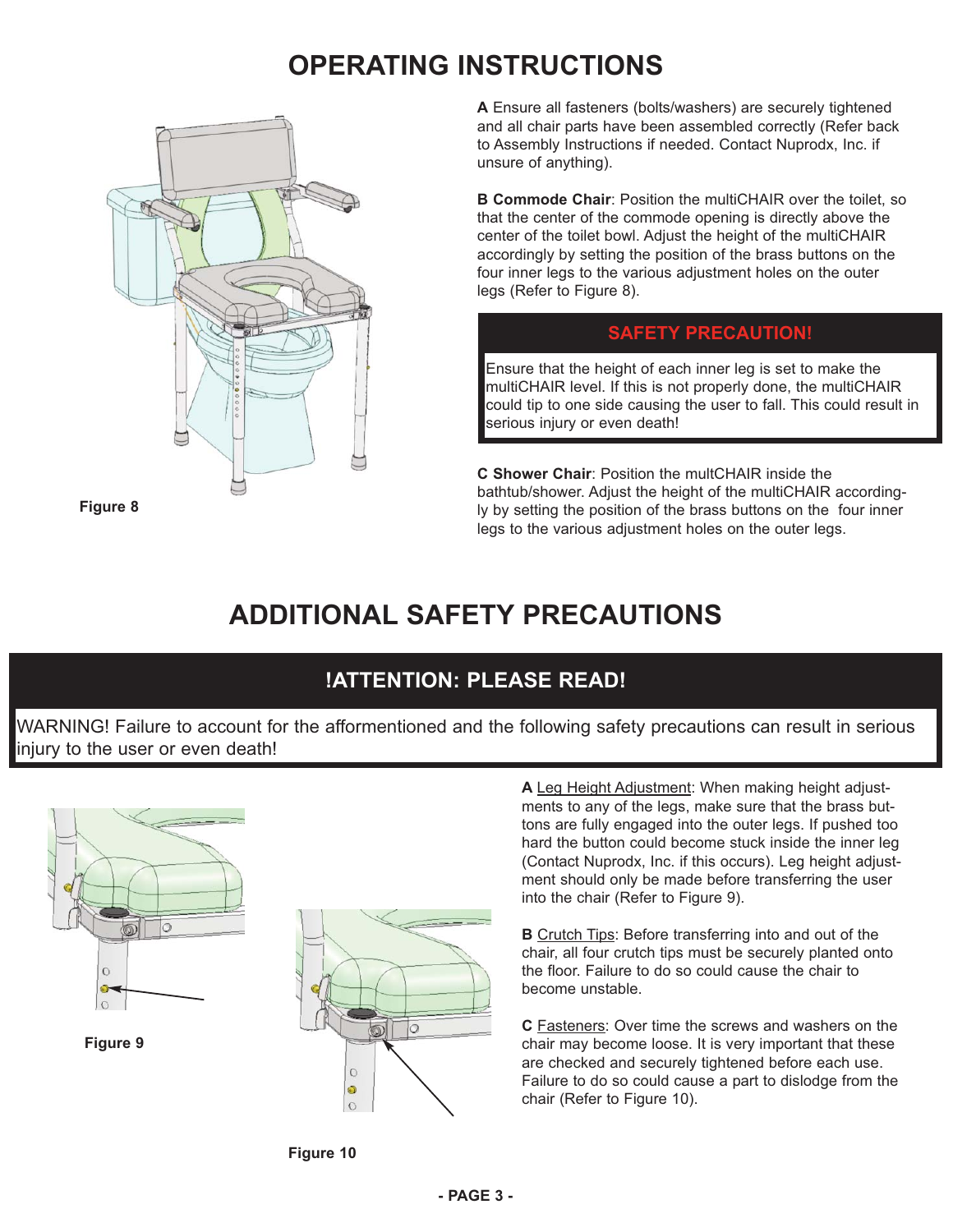## **OPERATING INSTRUCTIONS**



**A** Ensure all fasteners (bolts/washers) are securely tightened and all chair parts have been assembled correctly (Refer back to Assembly Instructions if needed. Contact Nuprodx, Inc. if unsure of anything).

**B Commode Chair: Position the multiCHAIR over the toilet, so** that the center of the commode opening is directly above the center of the toilet bowl. Adjust the height of the multiCHAIR accordingly by setting the position of the brass buttons on the four inner legs to the various adjustment holes on the outer legs (Refer to Figure 8).

#### **SAFETY PRECAUTION!**

Ensure that the height of each inner leg is set to make the multiCHAIR level. If this is not properly done, the multiCHAIR could tip to one side causing the user to fall. This could result in serious injury or even death!

**C Shower Chair**: Position the multCHAIR inside the bathtub/shower. Adjust the height of the multiCHAIR accordingly by setting the position of the brass buttons on the four inner legs to the various adjustment holes on the outer legs.

# **ADDITIONAL SAFETY PRECAUTIONS**

## **!ATTENTION: PLEASE READ!**

WARNING! Failure to account for the afformentioned and the following safety precautions can result in serious injury to the user or even death!



**A** Leg Height Adjustment: When making height adjustments to any of the legs, make sure that the brass buttons are fully engaged into the outer legs. If pushed too hard the button could become stuck inside the inner leg (Contact Nuprodx, Inc. if this occurs). Leg height adjustment should only be made before transferring the user into the chair (Refer to Figure 9).

**B** Crutch Tips: Before transferring into and out of the chair, all four crutch tips must be securely planted onto the floor. Failure to do so could cause the chair to become unstable.

**C** Fasteners: Over time the screws and washers on the chair may become loose. It is very important that these are checked and securely tightened before each use. Failure to do so could cause a part to dislodge from the chair (Refer to Figure 10).



 $\circ$